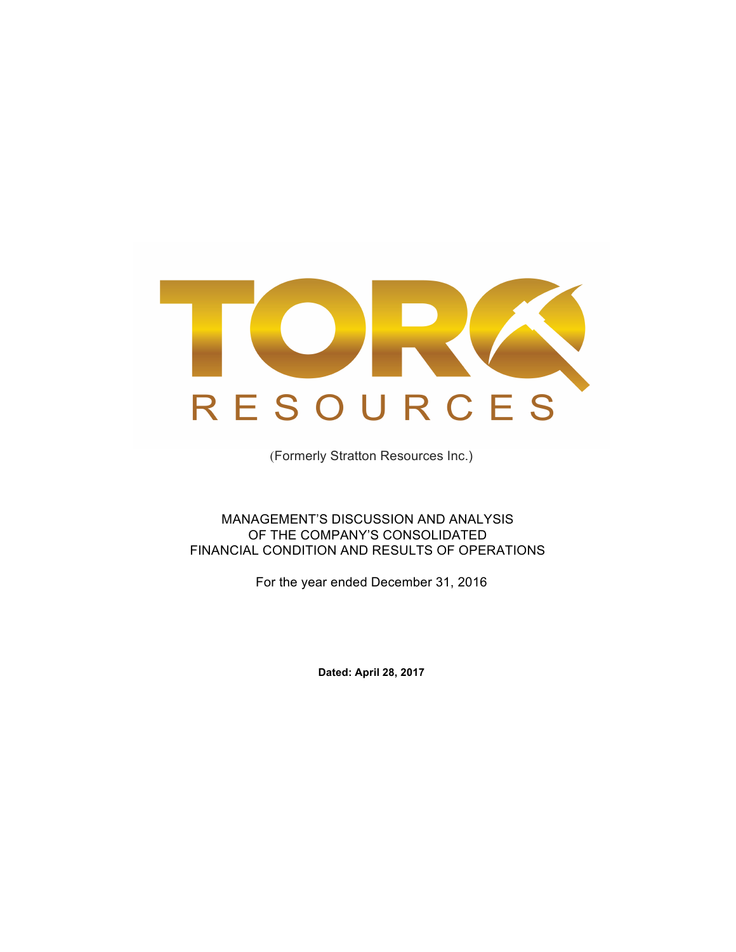

(Formerly Stratton Resources Inc.)

MANAGEMENT'S DISCUSSION AND ANALYSIS OF THE COMPANY'S CONSOLIDATED FINANCIAL CONDITION AND RESULTS OF OPERATIONS

For the year ended December 31, 2016

**Dated: April 28, 2017**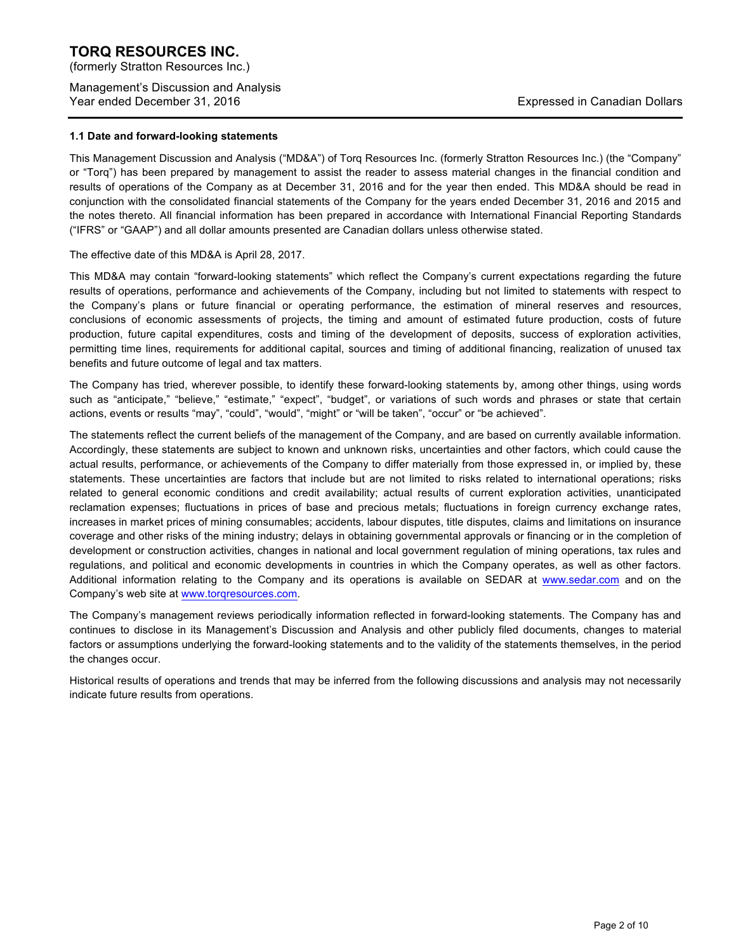(formerly Stratton Resources Inc.)

Management's Discussion and Analysis Year ended December 31, 2016 **Expressed in Canadian Dollars** Expressed in Canadian Dollars

#### **1.1 Date and forward-looking statements**

This Management Discussion and Analysis ("MD&A") of Torq Resources Inc. (formerly Stratton Resources Inc.) (the "Company" or "Torq") has been prepared by management to assist the reader to assess material changes in the financial condition and results of operations of the Company as at December 31, 2016 and for the year then ended. This MD&A should be read in conjunction with the consolidated financial statements of the Company for the years ended December 31, 2016 and 2015 and the notes thereto. All financial information has been prepared in accordance with International Financial Reporting Standards ("IFRS" or "GAAP") and all dollar amounts presented are Canadian dollars unless otherwise stated.

#### The effective date of this MD&A is April 28, 2017.

This MD&A may contain "forward-looking statements" which reflect the Company's current expectations regarding the future results of operations, performance and achievements of the Company, including but not limited to statements with respect to the Company's plans or future financial or operating performance, the estimation of mineral reserves and resources, conclusions of economic assessments of projects, the timing and amount of estimated future production, costs of future production, future capital expenditures, costs and timing of the development of deposits, success of exploration activities, permitting time lines, requirements for additional capital, sources and timing of additional financing, realization of unused tax benefits and future outcome of legal and tax matters.

The Company has tried, wherever possible, to identify these forward-looking statements by, among other things, using words such as "anticipate," "believe," "estimate," "expect", "budget", or variations of such words and phrases or state that certain actions, events or results "may", "could", "would", "might" or "will be taken", "occur" or "be achieved".

The statements reflect the current beliefs of the management of the Company, and are based on currently available information. Accordingly, these statements are subject to known and unknown risks, uncertainties and other factors, which could cause the actual results, performance, or achievements of the Company to differ materially from those expressed in, or implied by, these statements. These uncertainties are factors that include but are not limited to risks related to international operations; risks related to general economic conditions and credit availability; actual results of current exploration activities, unanticipated reclamation expenses; fluctuations in prices of base and precious metals; fluctuations in foreign currency exchange rates, increases in market prices of mining consumables; accidents, labour disputes, title disputes, claims and limitations on insurance coverage and other risks of the mining industry; delays in obtaining governmental approvals or financing or in the completion of development or construction activities, changes in national and local government regulation of mining operations, tax rules and regulations, and political and economic developments in countries in which the Company operates, as well as other factors. Additional information relating to the Company and its operations is available on SEDAR at www.sedar.com and on the Company's web site at www.torqresources.com.

The Company's management reviews periodically information reflected in forward-looking statements. The Company has and continues to disclose in its Management's Discussion and Analysis and other publicly filed documents, changes to material factors or assumptions underlying the forward-looking statements and to the validity of the statements themselves, in the period the changes occur.

Historical results of operations and trends that may be inferred from the following discussions and analysis may not necessarily indicate future results from operations.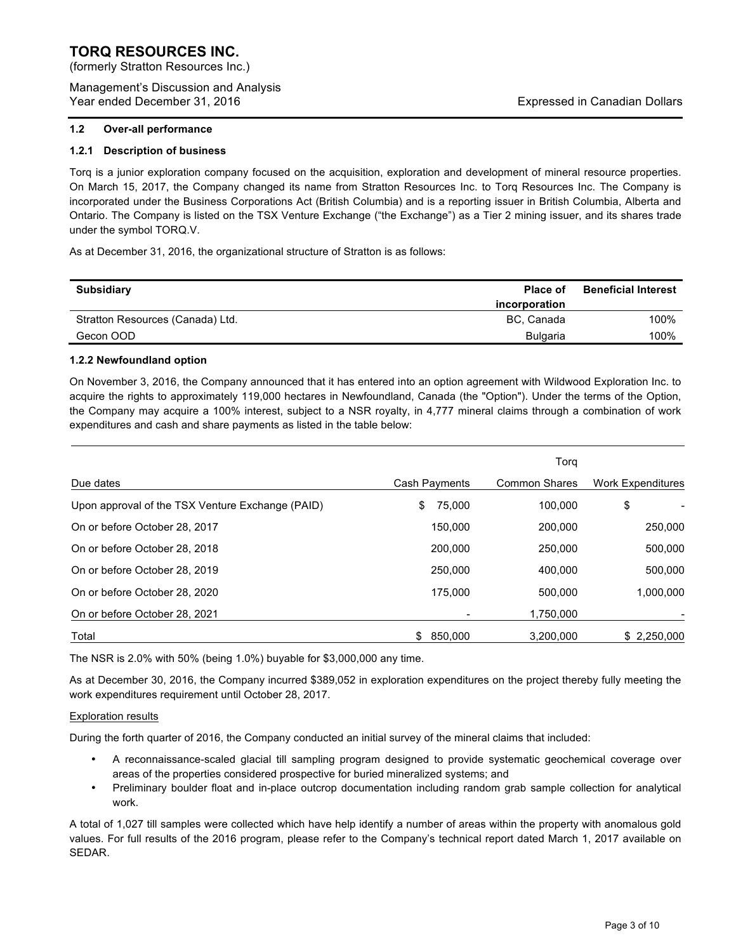(formerly Stratton Resources Inc.)

Management's Discussion and Analysis Year ended December 31, 2016 **Expressed in Canadian Dollars** Expressed in Canadian Dollars

#### **1.2 Over-all performance**

#### **1.2.1 Description of business**

Torq is a junior exploration company focused on the acquisition, exploration and development of mineral resource properties. On March 15, 2017, the Company changed its name from Stratton Resources Inc. to Torq Resources Inc. The Company is incorporated under the Business Corporations Act (British Columbia) and is a reporting issuer in British Columbia, Alberta and Ontario. The Company is listed on the TSX Venture Exchange ("the Exchange") as a Tier 2 mining issuer, and its shares trade under the symbol TORQ.V.

As at December 31, 2016, the organizational structure of Stratton is as follows:

| <b>Subsidiary</b>                | <b>Place of</b> | <b>Beneficial Interest</b> |
|----------------------------------|-----------------|----------------------------|
|                                  | incorporation   |                            |
| Stratton Resources (Canada) Ltd. | BC. Canada      | 100%                       |
| Gecon OOD                        | <b>Bulgaria</b> | 100%                       |

#### **1.2.2 Newfoundland option**

On November 3, 2016, the Company announced that it has entered into an option agreement with Wildwood Exploration Inc. to acquire the rights to approximately 119,000 hectares in Newfoundland, Canada (the "Option"). Under the terms of the Option, the Company may acquire a 100% interest, subject to a NSR royalty, in 4,777 mineral claims through a combination of work expenditures and cash and share payments as listed in the table below:

|                                                  |                | Torg                 |                          |
|--------------------------------------------------|----------------|----------------------|--------------------------|
| Due dates                                        | Cash Payments  | <b>Common Shares</b> | <b>Work Expenditures</b> |
| Upon approval of the TSX Venture Exchange (PAID) | 75,000<br>\$.  | 100.000              | \$                       |
| On or before October 28, 2017                    | 150,000        | 200,000              | 250,000                  |
| On or before October 28, 2018                    | 200,000        | 250,000              | 500,000                  |
| On or before October 28, 2019                    | 250,000        | 400.000              | 500.000                  |
| On or before October 28, 2020                    | 175,000        | 500,000              | 1,000,000                |
| On or before October 28, 2021                    |                | 1,750,000            |                          |
| Total                                            | 850.000<br>SS. | 3.200.000            | \$2.250.000              |

The NSR is 2.0% with 50% (being 1.0%) buyable for \$3,000,000 any time.

As at December 30, 2016, the Company incurred \$389,052 in exploration expenditures on the project thereby fully meeting the work expenditures requirement until October 28, 2017.

#### Exploration results

During the forth quarter of 2016, the Company conducted an initial survey of the mineral claims that included:

- A reconnaissance-scaled glacial till sampling program designed to provide systematic geochemical coverage over areas of the properties considered prospective for buried mineralized systems; and
- Preliminary boulder float and in-place outcrop documentation including random grab sample collection for analytical work.

A total of 1,027 till samples were collected which have help identify a number of areas within the property with anomalous gold values. For full results of the 2016 program, please refer to the Company's technical report dated March 1, 2017 available on SEDAR.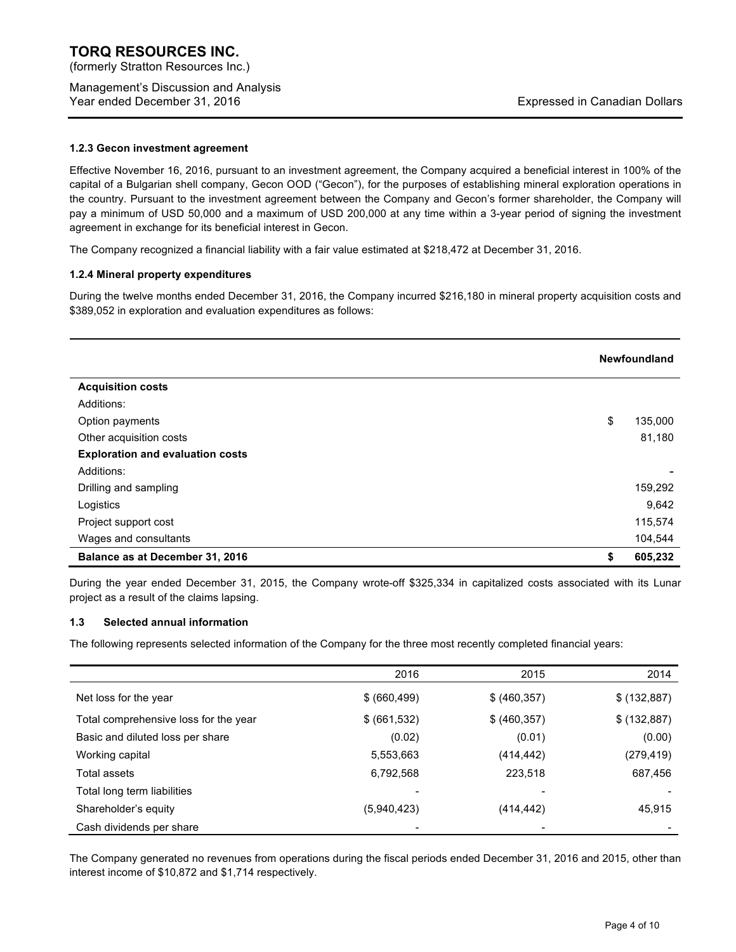(formerly Stratton Resources Inc.)

Management's Discussion and Analysis Year ended December 31, 2016 **Expressed in Canadian Dollars** Expressed in Canadian Dollars

#### **1.2.3 Gecon investment agreement**

Effective November 16, 2016, pursuant to an investment agreement, the Company acquired a beneficial interest in 100% of the capital of a Bulgarian shell company, Gecon OOD ("Gecon"), for the purposes of establishing mineral exploration operations in the country. Pursuant to the investment agreement between the Company and Gecon's former shareholder, the Company will pay a minimum of USD 50,000 and a maximum of USD 200,000 at any time within a 3-year period of signing the investment agreement in exchange for its beneficial interest in Gecon.

The Company recognized a financial liability with a fair value estimated at \$218,472 at December 31, 2016.

#### **1.2.4 Mineral property expenditures**

During the twelve months ended December 31, 2016, the Company incurred \$216,180 in mineral property acquisition costs and \$389,052 in exploration and evaluation expenditures as follows:

|                                         | <b>Newfoundland</b> |
|-----------------------------------------|---------------------|
| <b>Acquisition costs</b>                |                     |
| Additions:                              |                     |
| Option payments                         | \$<br>135,000       |
| Other acquisition costs                 | 81,180              |
| <b>Exploration and evaluation costs</b> |                     |
| Additions:                              |                     |
| Drilling and sampling                   | 159,292             |
| Logistics                               | 9,642               |
| Project support cost                    | 115,574             |
| Wages and consultants                   | 104,544             |
| Balance as at December 31, 2016         | \$<br>605,232       |

During the year ended December 31, 2015, the Company wrote-off \$325,334 in capitalized costs associated with its Lunar project as a result of the claims lapsing.

#### **1.3 Selected annual information**

The following represents selected information of the Company for the three most recently completed financial years:

|                                       | 2016          | 2015          | 2014         |
|---------------------------------------|---------------|---------------|--------------|
|                                       |               |               |              |
| Net loss for the year                 | \$ (660, 499) | \$ (460, 357) | \$ (132,887) |
| Total comprehensive loss for the year | \$ (661, 532) | \$ (460, 357) | \$ (132,887) |
| Basic and diluted loss per share      | (0.02)        | (0.01)        | (0.00)       |
| Working capital                       | 5,553,663     | (414, 442)    | (279, 419)   |
| Total assets                          | 6,792,568     | 223,518       | 687,456      |
| Total long term liabilities           | -             |               |              |
| Shareholder's equity                  | (5,940,423)   | (414, 442)    | 45,915       |
| Cash dividends per share              |               |               |              |

The Company generated no revenues from operations during the fiscal periods ended December 31, 2016 and 2015, other than interest income of \$10,872 and \$1,714 respectively.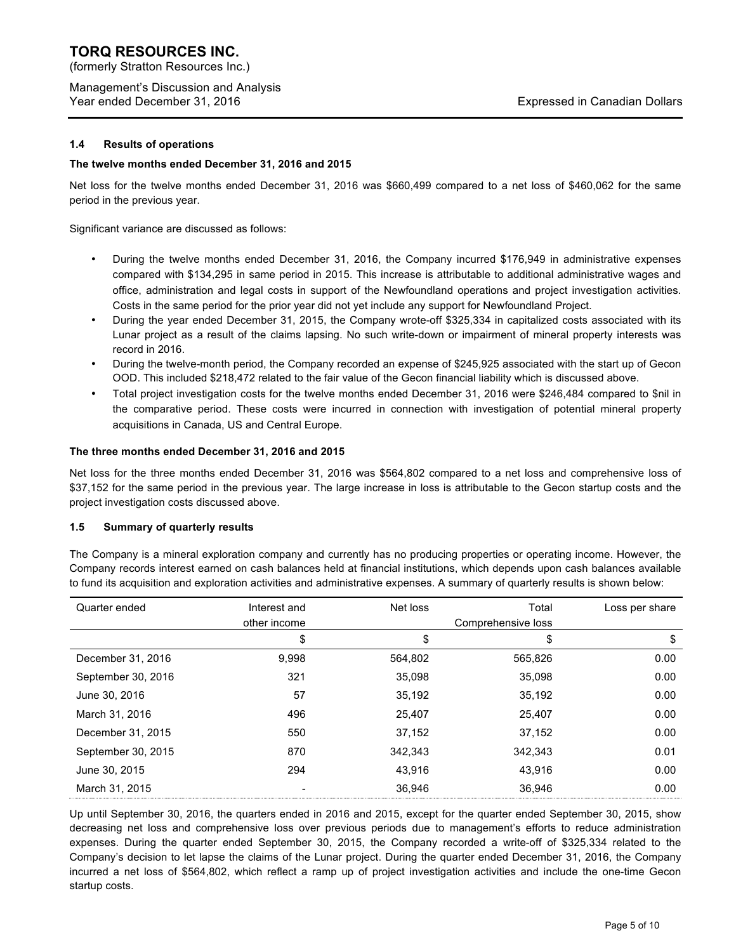(formerly Stratton Resources Inc.)

Management's Discussion and Analysis Year ended December 31, 2016 **Expressed in Canadian Dollars** Expressed in Canadian Dollars

## **1.4 Results of operations**

### **The twelve months ended December 31, 2016 and 2015**

Net loss for the twelve months ended December 31, 2016 was \$660,499 compared to a net loss of \$460,062 for the same period in the previous year.

Significant variance are discussed as follows:

- During the twelve months ended December 31, 2016, the Company incurred \$176,949 in administrative expenses compared with \$134,295 in same period in 2015. This increase is attributable to additional administrative wages and office, administration and legal costs in support of the Newfoundland operations and project investigation activities. Costs in the same period for the prior year did not yet include any support for Newfoundland Project.
- During the year ended December 31, 2015, the Company wrote-off \$325,334 in capitalized costs associated with its Lunar project as a result of the claims lapsing. No such write-down or impairment of mineral property interests was record in 2016.
- During the twelve-month period, the Company recorded an expense of \$245,925 associated with the start up of Gecon OOD. This included \$218,472 related to the fair value of the Gecon financial liability which is discussed above.
- Total project investigation costs for the twelve months ended December 31, 2016 were \$246,484 compared to \$nil in the comparative period. These costs were incurred in connection with investigation of potential mineral property acquisitions in Canada, US and Central Europe.

#### **The three months ended December 31, 2016 and 2015**

Net loss for the three months ended December 31, 2016 was \$564,802 compared to a net loss and comprehensive loss of \$37,152 for the same period in the previous year. The large increase in loss is attributable to the Gecon startup costs and the project investigation costs discussed above.

### **1.5 Summary of quarterly results**

The Company is a mineral exploration company and currently has no producing properties or operating income. However, the Company records interest earned on cash balances held at financial institutions, which depends upon cash balances available to fund its acquisition and exploration activities and administrative expenses. A summary of quarterly results is shown below:

| Quarter ended      | Interest and | Net loss | Total              | Loss per share |
|--------------------|--------------|----------|--------------------|----------------|
|                    | other income |          | Comprehensive loss |                |
|                    | \$           | \$       | \$                 | \$             |
| December 31, 2016  | 9,998        | 564,802  | 565,826            | 0.00           |
| September 30, 2016 | 321          | 35,098   | 35.098             | 0.00           |
| June 30, 2016      | 57           | 35.192   | 35.192             | 0.00           |
| March 31, 2016     | 496          | 25,407   | 25,407             | 0.00           |
| December 31, 2015  | 550          | 37.152   | 37.152             | 0.00           |
| September 30, 2015 | 870          | 342.343  | 342.343            | 0.01           |
| June 30, 2015      | 294          | 43.916   | 43.916             | 0.00           |
| March 31, 2015     |              | 36.946   | 36.946             | 0.00           |

Up until September 30, 2016, the quarters ended in 2016 and 2015, except for the quarter ended September 30, 2015, show decreasing net loss and comprehensive loss over previous periods due to management's efforts to reduce administration expenses. During the quarter ended September 30, 2015, the Company recorded a write-off of \$325,334 related to the Company's decision to let lapse the claims of the Lunar project. During the quarter ended December 31, 2016, the Company incurred a net loss of \$564,802, which reflect a ramp up of project investigation activities and include the one-time Gecon startup costs.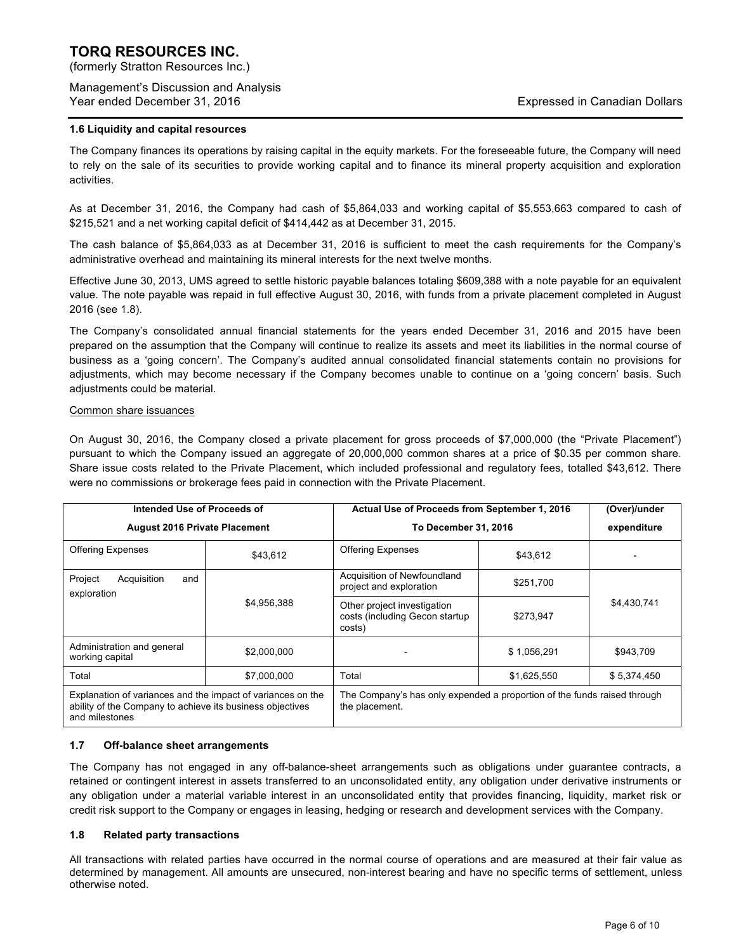(formerly Stratton Resources Inc.)

Management's Discussion and Analysis Year ended December 31, 2016 **Expressed in Canadian Dollars** Expressed in Canadian Dollars

#### **1.6 Liquidity and capital resources**

The Company finances its operations by raising capital in the equity markets. For the foreseeable future, the Company will need to rely on the sale of its securities to provide working capital and to finance its mineral property acquisition and exploration activities.

As at December 31, 2016, the Company had cash of \$5,864,033 and working capital of \$5,553,663 compared to cash of \$215,521 and a net working capital deficit of \$414,442 as at December 31, 2015.

The cash balance of \$5,864,033 as at December 31, 2016 is sufficient to meet the cash requirements for the Company's administrative overhead and maintaining its mineral interests for the next twelve months.

Effective June 30, 2013, UMS agreed to settle historic payable balances totaling \$609,388 with a note payable for an equivalent value. The note payable was repaid in full effective August 30, 2016, with funds from a private placement completed in August 2016 (see 1.8).

The Company's consolidated annual financial statements for the years ended December 31, 2016 and 2015 have been prepared on the assumption that the Company will continue to realize its assets and meet its liabilities in the normal course of business as a 'going concern'. The Company's audited annual consolidated financial statements contain no provisions for adjustments, which may become necessary if the Company becomes unable to continue on a 'going concern' basis. Such adjustments could be material.

#### Common share issuances

On August 30, 2016, the Company closed a private placement for gross proceeds of \$7,000,000 (the "Private Placement") pursuant to which the Company issued an aggregate of 20,000,000 common shares at a price of \$0.35 per common share. Share issue costs related to the Private Placement, which included professional and regulatory fees, totalled \$43,612. There were no commissions or brokerage fees paid in connection with the Private Placement.

| Intended Use of Proceeds of                                                                                                                |             | Actual Use of Proceeds from September 1, 2016                                              |             | (Over)/under |
|--------------------------------------------------------------------------------------------------------------------------------------------|-------------|--------------------------------------------------------------------------------------------|-------------|--------------|
| <b>August 2016 Private Placement</b>                                                                                                       |             | To December 31, 2016                                                                       |             | expenditure  |
| <b>Offering Expenses</b>                                                                                                                   | \$43,612    | <b>Offering Expenses</b>                                                                   | \$43,612    |              |
| Project<br>Acquisition<br>and<br>exploration                                                                                               |             | Acquisition of Newfoundland<br>project and exploration                                     | \$251,700   |              |
|                                                                                                                                            | \$4,956,388 | Other project investigation<br>costs (including Gecon startup<br>costs)                    | \$273,947   | \$4,430,741  |
| Administration and general<br>working capital                                                                                              | \$2,000,000 |                                                                                            | \$1,056,291 | \$943,709    |
| Total                                                                                                                                      | \$7,000,000 | Total                                                                                      | \$1,625,550 | \$5,374,450  |
| Explanation of variances and the impact of variances on the<br>ability of the Company to achieve its business objectives<br>and milestones |             | The Company's has only expended a proportion of the funds raised through<br>the placement. |             |              |

#### **1.7 Off-balance sheet arrangements**

The Company has not engaged in any off-balance-sheet arrangements such as obligations under guarantee contracts, a retained or contingent interest in assets transferred to an unconsolidated entity, any obligation under derivative instruments or any obligation under a material variable interest in an unconsolidated entity that provides financing, liquidity, market risk or credit risk support to the Company or engages in leasing, hedging or research and development services with the Company.

#### **1.8 Related party transactions**

All transactions with related parties have occurred in the normal course of operations and are measured at their fair value as determined by management. All amounts are unsecured, non-interest bearing and have no specific terms of settlement, unless otherwise noted.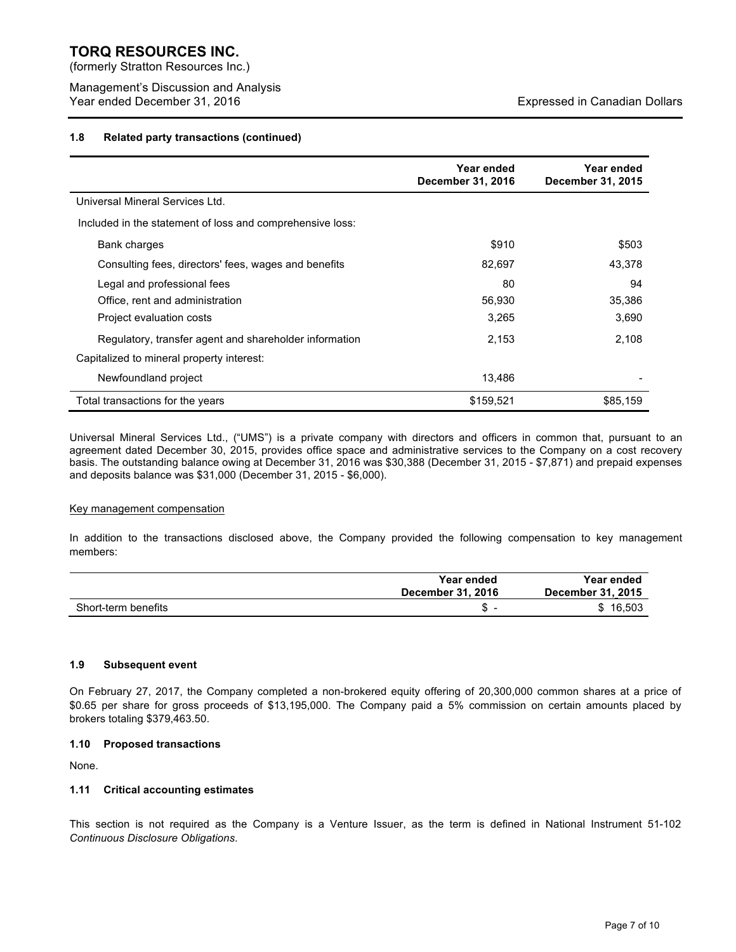(formerly Stratton Resources Inc.)

Management's Discussion and Analysis Year ended December 31, 2016 **Expressed in Canadian Dollars** Expressed in Canadian Dollars

#### **1.8 Related party transactions (continued)**

|                                                           | Year ended<br>December 31, 2016 | Year ended<br>December 31, 2015 |
|-----------------------------------------------------------|---------------------------------|---------------------------------|
| Universal Mineral Services Ltd.                           |                                 |                                 |
| Included in the statement of loss and comprehensive loss: |                                 |                                 |
| Bank charges                                              | \$910                           | \$503                           |
| Consulting fees, directors' fees, wages and benefits      | 82,697                          | 43,378                          |
| Legal and professional fees                               | 80                              | 94                              |
| Office, rent and administration                           | 56,930                          | 35,386                          |
| Project evaluation costs                                  | 3,265                           | 3,690                           |
| Regulatory, transfer agent and shareholder information    | 2,153                           | 2,108                           |
| Capitalized to mineral property interest:                 |                                 |                                 |
| Newfoundland project                                      | 13.486                          |                                 |
| Total transactions for the years                          | \$159,521                       | \$85,159                        |

Universal Mineral Services Ltd., ("UMS") is a private company with directors and officers in common that, pursuant to an agreement dated December 30, 2015, provides office space and administrative services to the Company on a cost recovery basis. The outstanding balance owing at December 31, 2016 was \$30,388 (December 31, 2015 - \$7,871) and prepaid expenses and deposits balance was \$31,000 (December 31, 2015 - \$6,000).

#### Key management compensation

In addition to the transactions disclosed above, the Company provided the following compensation to key management members:

|                     | Year ended<br>December 31, 2016 | Year ended<br>December 31, 2015 |
|---------------------|---------------------------------|---------------------------------|
| Short-term benefits | ۰D.                             | 16.503<br>S.                    |

#### **1.9 Subsequent event**

On February 27, 2017, the Company completed a non-brokered equity offering of 20,300,000 common shares at a price of \$0.65 per share for gross proceeds of \$13,195,000. The Company paid a 5% commission on certain amounts placed by brokers totaling \$379,463.50.

#### **1.10 Proposed transactions**

None.

#### **1.11 Critical accounting estimates**

This section is not required as the Company is a Venture Issuer, as the term is defined in National Instrument 51-102 *Continuous Disclosure Obligations*.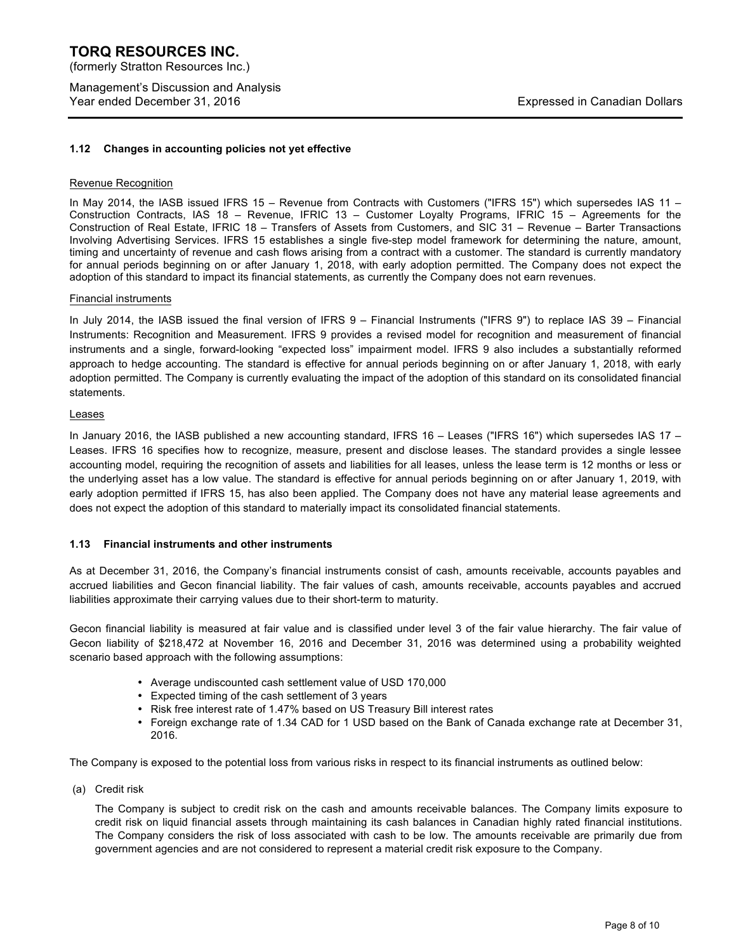### **TORQ RESOURCES INC.**  (formerly Stratton Resources Inc.)

Management's Discussion and Analysis Year ended December 31, 2016 **Expressed in Canadian Dollars** Expressed in Canadian Dollars

#### **1.12 Changes in accounting policies not yet effective**

#### Revenue Recognition

In May 2014, the IASB issued IFRS 15 – Revenue from Contracts with Customers ("IFRS 15") which supersedes IAS 11 – Construction Contracts, IAS 18 – Revenue, IFRIC 13 – Customer Loyalty Programs, IFRIC 15 – Agreements for the Construction of Real Estate, IFRIC 18 – Transfers of Assets from Customers, and SIC 31 – Revenue – Barter Transactions Involving Advertising Services. IFRS 15 establishes a single five-step model framework for determining the nature, amount, timing and uncertainty of revenue and cash flows arising from a contract with a customer. The standard is currently mandatory for annual periods beginning on or after January 1, 2018, with early adoption permitted. The Company does not expect the adoption of this standard to impact its financial statements, as currently the Company does not earn revenues.

#### Financial instruments

In July 2014, the IASB issued the final version of IFRS 9 – Financial Instruments ("IFRS 9") to replace IAS 39 – Financial Instruments: Recognition and Measurement. IFRS 9 provides a revised model for recognition and measurement of financial instruments and a single, forward-looking "expected loss" impairment model. IFRS 9 also includes a substantially reformed approach to hedge accounting. The standard is effective for annual periods beginning on or after January 1, 2018, with early adoption permitted. The Company is currently evaluating the impact of the adoption of this standard on its consolidated financial statements.

#### Leases

In January 2016, the IASB published a new accounting standard, IFRS 16 – Leases ("IFRS 16") which supersedes IAS 17 – Leases. IFRS 16 specifies how to recognize, measure, present and disclose leases. The standard provides a single lessee accounting model, requiring the recognition of assets and liabilities for all leases, unless the lease term is 12 months or less or the underlying asset has a low value. The standard is effective for annual periods beginning on or after January 1, 2019, with early adoption permitted if IFRS 15, has also been applied. The Company does not have any material lease agreements and does not expect the adoption of this standard to materially impact its consolidated financial statements.

### **1.13 Financial instruments and other instruments**

As at December 31, 2016, the Company's financial instruments consist of cash, amounts receivable, accounts payables and accrued liabilities and Gecon financial liability. The fair values of cash, amounts receivable, accounts payables and accrued liabilities approximate their carrying values due to their short-term to maturity.

Gecon financial liability is measured at fair value and is classified under level 3 of the fair value hierarchy. The fair value of Gecon liability of \$218,472 at November 16, 2016 and December 31, 2016 was determined using a probability weighted scenario based approach with the following assumptions:

- Average undiscounted cash settlement value of USD 170,000
- Expected timing of the cash settlement of 3 years
- Risk free interest rate of 1.47% based on US Treasury Bill interest rates
- Foreign exchange rate of 1.34 CAD for 1 USD based on the Bank of Canada exchange rate at December 31, 2016.

The Company is exposed to the potential loss from various risks in respect to its financial instruments as outlined below:

(a) Credit risk

The Company is subject to credit risk on the cash and amounts receivable balances. The Company limits exposure to credit risk on liquid financial assets through maintaining its cash balances in Canadian highly rated financial institutions. The Company considers the risk of loss associated with cash to be low. The amounts receivable are primarily due from government agencies and are not considered to represent a material credit risk exposure to the Company.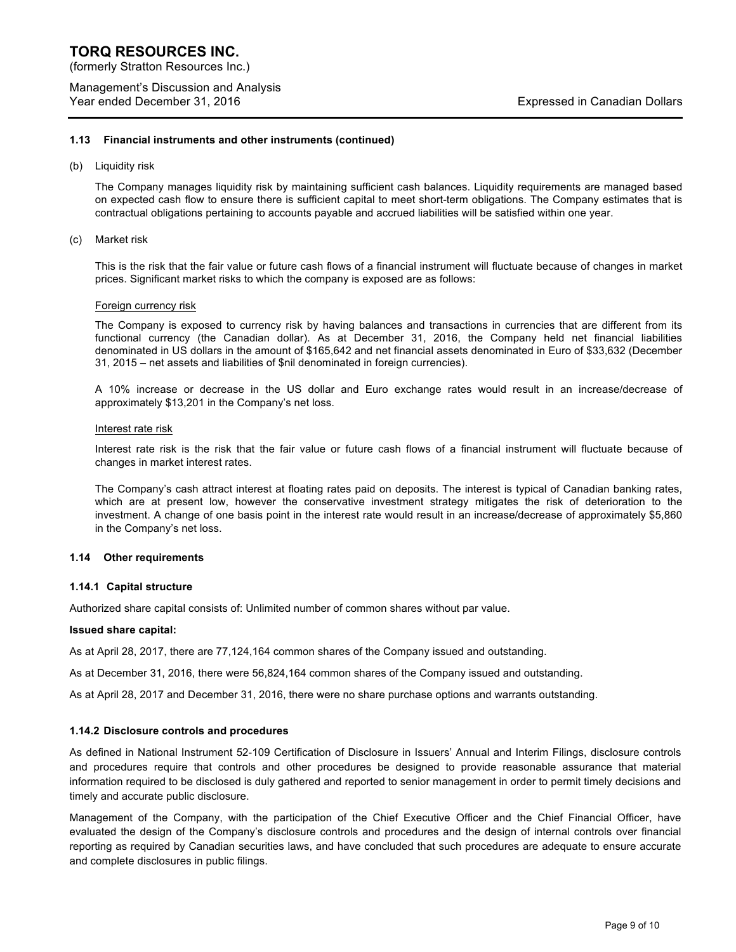(formerly Stratton Resources Inc.)

Management's Discussion and Analysis Year ended December 31, 2016 **Expressed in Canadian Dollars** Expressed in Canadian Dollars

#### **1.13 Financial instruments and other instruments (continued)**

(b) Liquidity risk

The Company manages liquidity risk by maintaining sufficient cash balances. Liquidity requirements are managed based on expected cash flow to ensure there is sufficient capital to meet short-term obligations. The Company estimates that is contractual obligations pertaining to accounts payable and accrued liabilities will be satisfied within one year.

(c) Market risk

This is the risk that the fair value or future cash flows of a financial instrument will fluctuate because of changes in market prices. Significant market risks to which the company is exposed are as follows:

#### Foreign currency risk

The Company is exposed to currency risk by having balances and transactions in currencies that are different from its functional currency (the Canadian dollar). As at December 31, 2016, the Company held net financial liabilities denominated in US dollars in the amount of \$165,642 and net financial assets denominated in Euro of \$33,632 (December 31, 2015 – net assets and liabilities of \$nil denominated in foreign currencies).

A 10% increase or decrease in the US dollar and Euro exchange rates would result in an increase/decrease of approximately \$13,201 in the Company's net loss.

#### Interest rate risk

Interest rate risk is the risk that the fair value or future cash flows of a financial instrument will fluctuate because of changes in market interest rates.

The Company's cash attract interest at floating rates paid on deposits. The interest is typical of Canadian banking rates, which are at present low, however the conservative investment strategy mitigates the risk of deterioration to the investment. A change of one basis point in the interest rate would result in an increase/decrease of approximately \$5,860 in the Company's net loss.

#### **1.14 Other requirements**

#### **1.14.1 Capital structure**

Authorized share capital consists of: Unlimited number of common shares without par value.

#### **Issued share capital:**

As at April 28, 2017, there are 77,124,164 common shares of the Company issued and outstanding.

As at December 31, 2016, there were 56,824,164 common shares of the Company issued and outstanding.

As at April 28, 2017 and December 31, 2016, there were no share purchase options and warrants outstanding.

#### **1.14.2 Disclosure controls and procedures**

As defined in National Instrument 52-109 Certification of Disclosure in Issuers' Annual and Interim Filings, disclosure controls and procedures require that controls and other procedures be designed to provide reasonable assurance that material information required to be disclosed is duly gathered and reported to senior management in order to permit timely decisions and timely and accurate public disclosure.

Management of the Company, with the participation of the Chief Executive Officer and the Chief Financial Officer, have evaluated the design of the Company's disclosure controls and procedures and the design of internal controls over financial reporting as required by Canadian securities laws, and have concluded that such procedures are adequate to ensure accurate and complete disclosures in public filings.